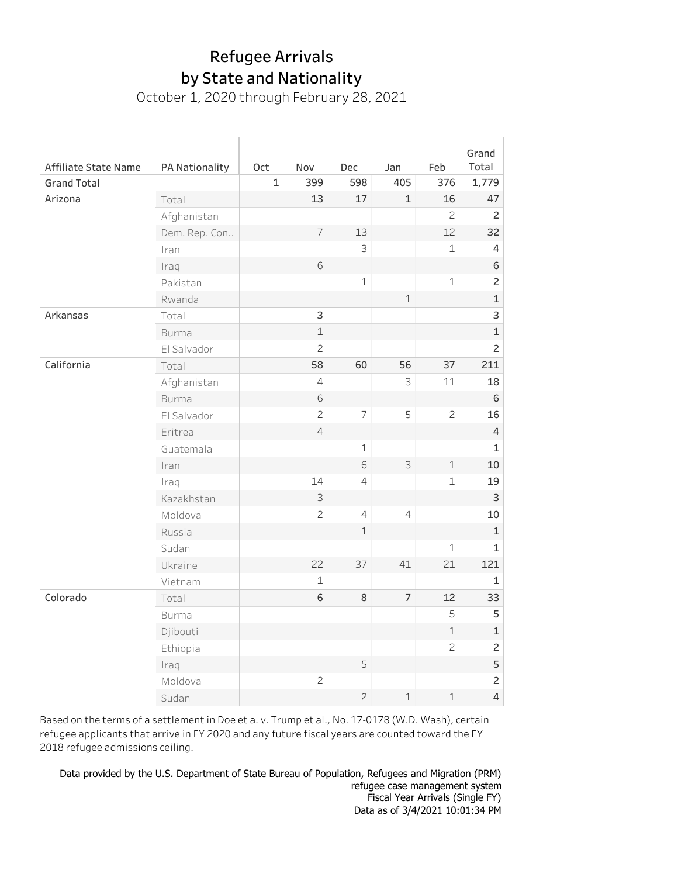October 1, 2020 through February 28, 2021

|                      |                |     |                |                |                |                | Grand                     |
|----------------------|----------------|-----|----------------|----------------|----------------|----------------|---------------------------|
| Affiliate State Name | PA Nationality | Oct | Nov            | Dec            | Jan            | Feb            | Total                     |
| <b>Grand Total</b>   |                | 1   | 399            | 598            | 405            | 376            | 1,779                     |
| Arizona              | Total          |     | 13             | 17             | $\mathbf{1}$   | 16             | 47                        |
|                      | Afghanistan    |     |                |                |                | $\overline{c}$ | $\overline{c}$            |
|                      | Dem. Rep. Con  |     | $\overline{7}$ | 13             |                | 12             | 32                        |
|                      | Iran           |     |                | 3              |                | $\mathbf{1}$   | 4                         |
|                      | Iraq           |     | 6              |                |                |                | $\mathsf 6$               |
|                      | Pakistan       |     |                | $\mathbf 1$    |                | $\mathbf 1$    | $\overline{c}$            |
|                      | Rwanda         |     |                |                | $\perp$        |                | $\mathbf 1$               |
| Arkansas             | Total          |     | 3              |                |                |                | 3                         |
|                      | <b>Burma</b>   |     | $\mathbf 1$    |                |                |                | $\mathbf 1$               |
|                      | El Salvador    |     | $\overline{c}$ |                |                |                | $\overline{c}$            |
| California           | Total          |     | 58             | 60             | 56             | 37             | 211                       |
|                      | Afghanistan    |     | $\overline{4}$ |                | 3              | 11             | 18                        |
|                      | <b>Burma</b>   |     | 6              |                |                |                | 6                         |
|                      | El Salvador    |     | $\overline{c}$ | $\overline{7}$ | 5              | $\overline{c}$ | 16                        |
|                      | Eritrea        |     | $\overline{4}$ |                |                |                | $\overline{4}$            |
|                      | Guatemala      |     |                | $\mathbf 1$    |                |                | $\mathbf 1$               |
|                      | Iran           |     |                | 6              | $\mathsf 3$    | $\mathbf 1$    | 10                        |
|                      | Iraq           |     | 14             | $\overline{4}$ |                | 1              | 19                        |
|                      | Kazakhstan     |     | $\mathsf S$    |                |                |                | $\ensuremath{\mathsf{3}}$ |
|                      | Moldova        |     | $\mathbf{Z}$   | $\overline{4}$ | $\overline{4}$ |                | 10                        |
|                      | Russia         |     |                | $\perp$        |                |                | $\mathbf 1$               |
|                      | Sudan          |     |                |                |                | $\mathbf 1$    | $\mathbf 1$               |
|                      | Ukraine        |     | 22             | 37             | 41             | 21             | 121                       |
|                      | Vietnam        |     | $\mathbf 1$    |                |                |                | $\mathbf 1$               |
| Colorado             | Total          |     | 6              | 8              | $\overline{7}$ | 12             | 33                        |
|                      | <b>Burma</b>   |     |                |                |                | 5              | 5                         |
|                      | Djibouti       |     |                |                |                | $\mathbf 1$    | $\mathbf 1$               |
|                      | Ethiopia       |     |                |                |                | $\overline{c}$ | $\overline{c}$            |
|                      | Iraq           |     |                | 5              |                |                | 5                         |
|                      | Moldova        |     | $\mathbf{Z}$   |                |                |                | $\overline{c}$            |
|                      | Sudan          |     |                | $\overline{c}$ | $\mathbf 1$    | $\mathbf 1$    | $\overline{4}$            |

Based on the terms of a settlement in Doe et a. v. Trump et al., No. 17-0178 (W.D. Wash), certain refugee applicants that arrive in FY 2020 and any future fiscal years are counted toward the FY 2018 refugee admissions ceiling.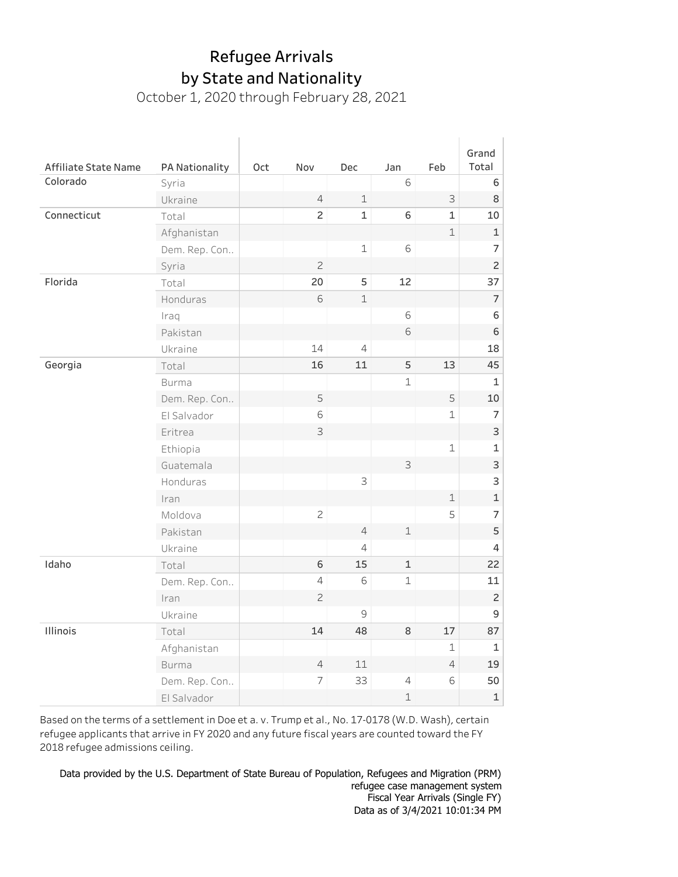October 1, 2020 through February 28, 2021

|               |                                                                                                                                                                                                       |                |                                                                                        |                                                                        |                                                      | Grand                                                                |
|---------------|-------------------------------------------------------------------------------------------------------------------------------------------------------------------------------------------------------|----------------|----------------------------------------------------------------------------------------|------------------------------------------------------------------------|------------------------------------------------------|----------------------------------------------------------------------|
|               |                                                                                                                                                                                                       |                |                                                                                        |                                                                        |                                                      | Total                                                                |
|               |                                                                                                                                                                                                       |                |                                                                                        |                                                                        |                                                      | 6                                                                    |
|               |                                                                                                                                                                                                       |                |                                                                                        |                                                                        |                                                      | $\,8\,$                                                              |
|               |                                                                                                                                                                                                       |                |                                                                                        |                                                                        |                                                      | 10                                                                   |
|               |                                                                                                                                                                                                       |                |                                                                                        |                                                                        |                                                      | $\mathbf 1$                                                          |
|               |                                                                                                                                                                                                       |                |                                                                                        |                                                                        |                                                      | $\overline{7}$                                                       |
|               |                                                                                                                                                                                                       |                |                                                                                        |                                                                        |                                                      | $\overline{c}$                                                       |
|               |                                                                                                                                                                                                       |                |                                                                                        |                                                                        |                                                      | 37                                                                   |
|               |                                                                                                                                                                                                       |                |                                                                                        |                                                                        |                                                      | $\overline{7}$                                                       |
| Iraq          |                                                                                                                                                                                                       |                |                                                                                        |                                                                        |                                                      | 6                                                                    |
| Pakistan      |                                                                                                                                                                                                       |                |                                                                                        | 6                                                                      |                                                      | 6                                                                    |
| Ukraine       |                                                                                                                                                                                                       | 14             | $\overline{4}$                                                                         |                                                                        |                                                      | 18                                                                   |
| Total         |                                                                                                                                                                                                       | 16             | 11                                                                                     | 5                                                                      | 13                                                   | 45                                                                   |
| <b>Burma</b>  |                                                                                                                                                                                                       |                |                                                                                        | $\mathbf 1$                                                            |                                                      | $\mathbf 1$                                                          |
| Dem. Rep. Con |                                                                                                                                                                                                       | 5              |                                                                                        |                                                                        | 5                                                    | 10                                                                   |
| El Salvador   |                                                                                                                                                                                                       | 6              |                                                                                        |                                                                        | 1                                                    | $\overline{7}$                                                       |
| Eritrea       |                                                                                                                                                                                                       | 3              |                                                                                        |                                                                        |                                                      | 3                                                                    |
| Ethiopia      |                                                                                                                                                                                                       |                |                                                                                        |                                                                        | $\mathbf 1$                                          | $\mathbf 1$                                                          |
| Guatemala     |                                                                                                                                                                                                       |                |                                                                                        | 3                                                                      |                                                      | 3                                                                    |
| Honduras      |                                                                                                                                                                                                       |                | 3                                                                                      |                                                                        |                                                      | 3                                                                    |
| Iran          |                                                                                                                                                                                                       |                |                                                                                        |                                                                        | $\mathbf 1$                                          | $\mathbf 1$                                                          |
| Moldova       |                                                                                                                                                                                                       | $\mathbf{Z}$   |                                                                                        |                                                                        | 5                                                    | $\overline{7}$                                                       |
| Pakistan      |                                                                                                                                                                                                       |                | $\overline{4}$                                                                         | $\mathbf 1$                                                            |                                                      | 5                                                                    |
| Ukraine       |                                                                                                                                                                                                       |                | $\overline{4}$                                                                         |                                                                        |                                                      | 4                                                                    |
| Total         |                                                                                                                                                                                                       | 6              | 15                                                                                     | $\mathbf 1$                                                            |                                                      | 22                                                                   |
|               |                                                                                                                                                                                                       | $\overline{4}$ | 6                                                                                      | $\mathbf 1$                                                            |                                                      | 11                                                                   |
|               |                                                                                                                                                                                                       | $\overline{c}$ |                                                                                        |                                                                        |                                                      | $\overline{c}$                                                       |
|               |                                                                                                                                                                                                       |                | $\mathcal{G}$                                                                          |                                                                        |                                                      | 9                                                                    |
|               |                                                                                                                                                                                                       | 14             | 48                                                                                     | 8                                                                      | 17                                                   | 87                                                                   |
|               |                                                                                                                                                                                                       |                |                                                                                        |                                                                        | 1                                                    | $\mathbf{1}$                                                         |
| <b>Burma</b>  |                                                                                                                                                                                                       | $\overline{4}$ | 11                                                                                     |                                                                        |                                                      | 19                                                                   |
|               |                                                                                                                                                                                                       |                |                                                                                        |                                                                        |                                                      | 50                                                                   |
|               |                                                                                                                                                                                                       |                |                                                                                        |                                                                        |                                                      | $\mathbf 1$                                                          |
|               | PA Nationality<br>Syria<br>Ukraine<br>Total<br>Afghanistan<br>Dem. Rep. Con<br>Syria<br>Total<br>Honduras<br>Dem. Rep. Con<br>Iran<br>Ukraine<br>Total<br>Afghanistan<br>Dem. Rep. Con<br>El Salvador | Oct            | Nov<br>$\overline{4}$<br>$\overline{c}$<br>$\overline{c}$<br>20<br>6<br>$\overline{7}$ | Dec<br>$\mathbf 1$<br>$\mathbf 1$<br>$\mathbf 1$<br>5<br>$\perp$<br>33 | Jan<br>6<br>6<br>6<br>12<br>6<br>$\overline{4}$<br>1 | Feb<br>$\mathsf S$<br>$\mathbf{1}$<br>$\mathbf 1$<br>$\sqrt{4}$<br>6 |

Based on the terms of a settlement in Doe et a.v. Trump et al., No. 17-0178 (W.D. Wash), certain refugee applicants that arrive in FY 2020 and any future fiscal years are counted toward the FY 2018 refugee admissions ceiling.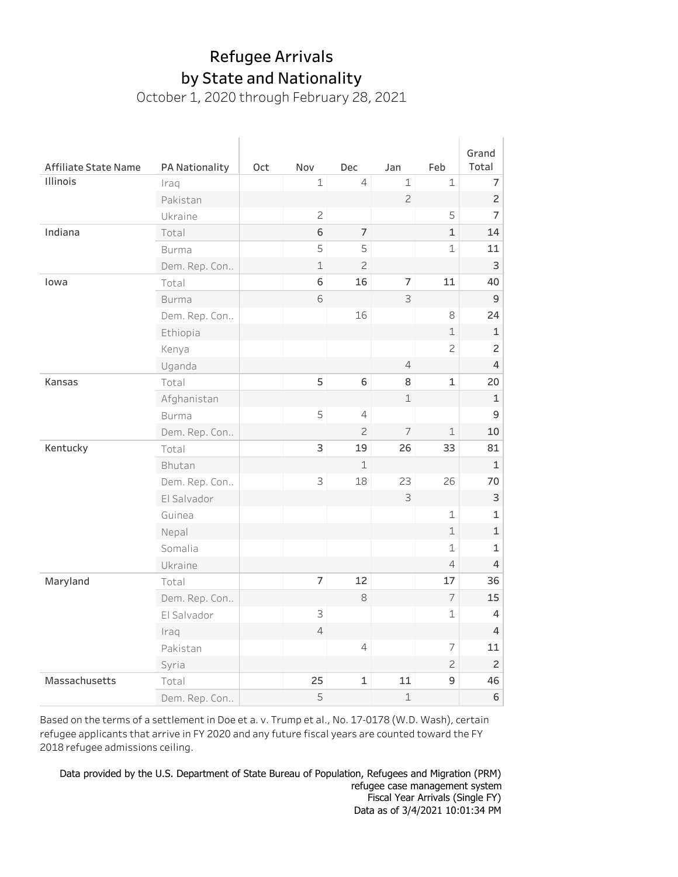October 1, 2020 through February 28, 2021

|                      |                |     |                |                |                |                | Grand          |
|----------------------|----------------|-----|----------------|----------------|----------------|----------------|----------------|
| Affiliate State Name | PA Nationality | Oct | Nov            | Dec            | Jan            | Feb            | Total          |
| Illinois             | Iraq           |     | $\mathbf 1$    | $\overline{4}$ | $\mathbf 1$    | 1              | $\overline{7}$ |
|                      | Pakistan       |     |                |                | $\overline{c}$ |                | $\overline{c}$ |
|                      | Ukraine        |     | $\mathbf{Z}$   |                |                | 5              | $\overline{7}$ |
| Indiana              | Total          |     | 6              | $\overline{7}$ |                | 1              | 14             |
|                      | <b>Burma</b>   |     | 5              | 5              |                | $\mathbf 1$    | 11             |
|                      | Dem. Rep. Con  |     | $\mathbf 1$    | $\overline{c}$ |                |                | 3              |
| lowa                 | Total          |     | 6              | 16             | 7              | 11             | 40             |
|                      | <b>Burma</b>   |     | 6              |                | 3              |                | $\mathsf 9$    |
|                      | Dem. Rep. Con  |     |                | 16             |                | 8              | 24             |
|                      | Ethiopia       |     |                |                |                | $\mathbf 1$    | $\mathbf 1$    |
|                      | Kenya          |     |                |                |                | $\overline{c}$ | $\overline{c}$ |
|                      | Uganda         |     |                |                | $\overline{4}$ |                | 4              |
| Kansas               | Total          |     | 5              | 6              | 8              | 1              | 20             |
|                      | Afghanistan    |     |                |                | $\mathbf 1$    |                | 1              |
|                      | <b>Burma</b>   |     | 5              | 4              |                |                | 9              |
|                      | Dem. Rep. Con  |     |                | $\overline{c}$ | $\overline{7}$ | $\mathbf 1$    | 10             |
| Kentucky             | Total          |     | 3              | 19             | 26             | 33             | 81             |
|                      | Bhutan         |     |                | $\mathbf 1$    |                |                | $\mathbf 1$    |
|                      | Dem. Rep. Con  |     | 3              | 18             | 23             | 26             | 70             |
|                      | El Salvador    |     |                |                | 3              |                | 3              |
|                      | Guinea         |     |                |                |                | 1              | 1              |
|                      | Nepal          |     |                |                |                | 1              | $\mathbf 1$    |
|                      | Somalia        |     |                |                |                | 1              | 1              |
|                      | Ukraine        |     |                |                |                | 4              | 4              |
| Maryland             | Total          |     | $\overline{7}$ | 12             |                | 17             | 36             |
|                      | Dem. Rep. Con  |     |                | $\,8\,$        |                | $\overline{7}$ | 15             |
|                      | El Salvador    |     | 3              |                |                | 1              | 4              |
|                      | Iraq           |     | $\overline{4}$ |                |                |                | $\overline{4}$ |
|                      | Pakistan       |     |                | $\overline{4}$ |                | 7              | 11             |
|                      | Syria          |     |                |                |                | 2              | $\overline{c}$ |
| Massachusetts        | Total          |     | 25             | $\mathbf{1}$   | 11             | 9              | 46             |
|                      | Dem. Rep. Con  |     | 5              |                | $\mathbf 1$    |                | 6              |

Based on the terms of a settlement in Doe et a. v. Trump et al., No. 17-0178 (W.D. Wash), certain refugee applicants that arrive in FY 2020 and any future fiscal years are counted toward the FY 2018 refugee admissions ceiling.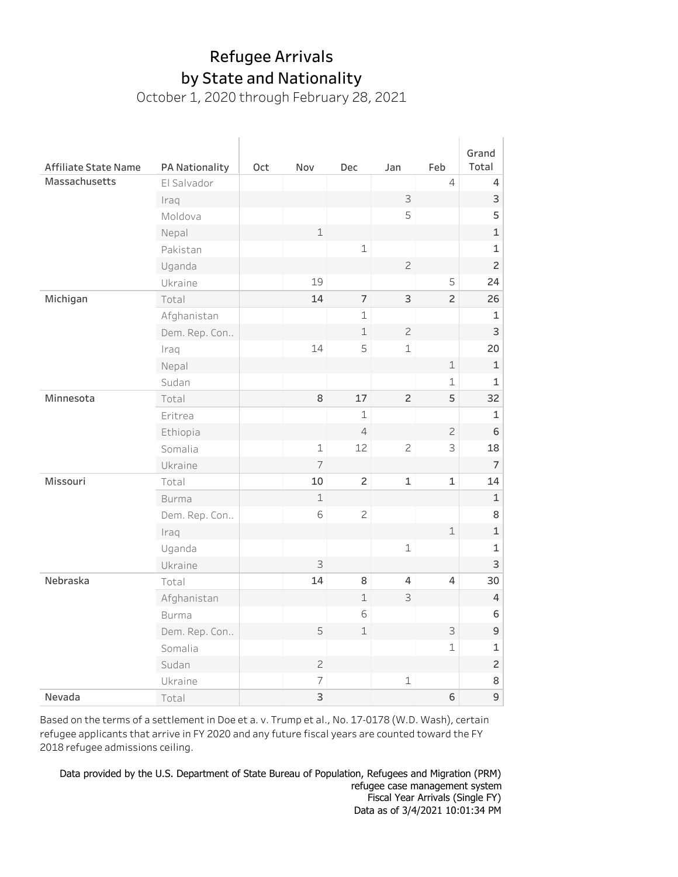October 1, 2020 through February 28, 2021

| Affiliate State Name | PA Nationality | Oct | Nov            | <b>Dec</b>     | Jan            | Feb            | Grand<br>Total            |
|----------------------|----------------|-----|----------------|----------------|----------------|----------------|---------------------------|
| Massachusetts        | El Salvador    |     |                |                |                | $\overline{4}$ | 4                         |
|                      | Iraq           |     |                |                | 3              |                | $\ensuremath{\mathsf{3}}$ |
|                      | Moldova        |     |                |                | 5              |                | 5                         |
|                      | Nepal          |     | $\mathbf 1$    |                |                |                | $\mathbf 1$               |
|                      | Pakistan       |     |                | $\mathbf 1$    |                |                | $\mathbf 1$               |
|                      | Uganda         |     |                |                | $\overline{c}$ |                | $\overline{c}$            |
|                      | Ukraine        |     | 19             |                |                | 5              | 24                        |
| Michigan             | Total          |     | 14             | $\overline{7}$ | 3              | $\overline{c}$ | 26                        |
|                      | Afghanistan    |     |                | $\mathbf 1$    |                |                | 1                         |
|                      | Dem. Rep. Con  |     |                | $\mathbf 1$    | $\overline{c}$ |                | 3                         |
|                      | Iraq           |     | 14             | 5              | $\mathbf 1$    |                | 20                        |
|                      | Nepal          |     |                |                |                | $\mathbbm{1}$  | $\mathbf 1$               |
|                      | Sudan          |     |                |                |                | 1              | 1                         |
| Minnesota            | Total          |     | 8              | 17             | $\overline{c}$ | 5              | 32                        |
|                      | Eritrea        |     |                | $\mathbf 1$    |                |                | $\mathbf 1$               |
|                      | Ethiopia       |     |                | $\overline{4}$ |                | $\overline{c}$ | 6                         |
|                      | Somalia        |     | $\mathbf 1$    | 12             | $\mathbf{Z}$   | 3              | 18                        |
|                      | Ukraine        |     | 7              |                |                |                | 7                         |
| Missouri             | Total          |     | 10             | $\overline{c}$ | $\mathbf 1$    | 1              | 14                        |
|                      | <b>Burma</b>   |     | $\mathbf 1$    |                |                |                | $\mathbf 1$               |
|                      | Dem. Rep. Con  |     | 6              | $\mathbf{Z}$   |                |                | 8                         |
|                      | Iraq           |     |                |                |                | $\mathbbm{1}$  | $\mathbf 1$               |
|                      | Uganda         |     |                |                | $\mathbf 1$    |                | $\mathbf 1$               |
|                      | Ukraine        |     | 3              |                |                |                | 3                         |
| Nebraska             | Total          |     | 14             | 8              | $\overline{4}$ | $\overline{4}$ | 30                        |
|                      | Afghanistan    |     |                | $\mathbf 1$    | 3              |                | $\overline{4}$            |
|                      | <b>Burma</b>   |     |                | 6              |                |                | 6                         |
|                      | Dem. Rep. Con  |     | 5              | $\mathbf 1$    |                | $\mathsf 3$    | $\mathsf 9$               |
|                      | Somalia        |     |                |                |                | $\mathbf 1$    | 1                         |
|                      | Sudan          |     | $\mathbf{Z}$   |                |                |                | $\overline{c}$            |
|                      | Ukraine        |     | $\overline{7}$ |                | $\mathbf 1$    |                | 8                         |
| Nevada               | Total          |     | 3              |                |                | 6              | 9                         |

Based on the terms of a settlement in Doe et a. v. Trump et al., No. 17-0178 (W.D. Wash), certain refugee applicants that arrive in FY 2020 and any future fiscal years are counted toward the FY 2018 refugee admissions ceiling.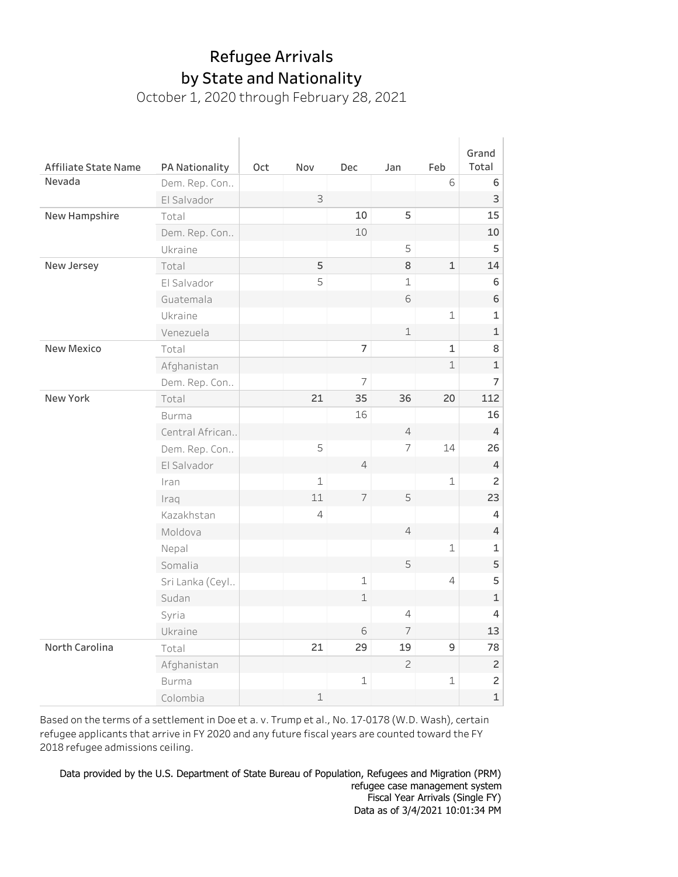October 1, 2020 through February 28, 2021

|                             |                 |     |                |                |                |                | Grand          |
|-----------------------------|-----------------|-----|----------------|----------------|----------------|----------------|----------------|
| <b>Affiliate State Name</b> | PA Nationality  | Oct | Nov            | <b>Dec</b>     | Jan            | Feb            | Total          |
| Nevada                      | Dem. Rep. Con   |     |                |                |                | 6              | 6              |
|                             | El Salvador     |     | 3              |                |                |                | 3              |
| New Hampshire               | Total           |     |                | 10             | 5              |                | 15             |
|                             | Dem. Rep. Con   |     |                | 10             |                |                | 10             |
|                             | Ukraine         |     |                |                | 5              |                | 5              |
| New Jersey                  | Total           |     | 5              |                | 8              | $\mathbf{1}$   | 14             |
|                             | El Salvador     |     | 5              |                | $\mathbf 1$    |                | 6              |
|                             | Guatemala       |     |                |                | 6              |                | 6              |
|                             | Ukraine         |     |                |                |                | $\mathbf 1$    | 1              |
|                             | Venezuela       |     |                |                | $\mathbf 1$    |                | 1              |
| <b>New Mexico</b>           | Total           |     |                | $\overline{7}$ |                | $\mathbf 1$    | 8              |
|                             | Afghanistan     |     |                |                |                | $\mathbf 1$    | $\mathbf 1$    |
|                             | Dem. Rep. Con   |     |                | 7              |                |                | 7              |
| New York                    | Total           |     | 21             | 35             | 36             | 20             | 112            |
|                             | <b>Burma</b>    |     |                | 16             |                |                | 16             |
|                             | Central African |     |                |                | $\overline{4}$ |                | $\overline{4}$ |
|                             | Dem. Rep. Con   |     | 5              |                | $\overline{7}$ | 14             | 26             |
|                             | El Salvador     |     |                | $\overline{4}$ |                |                | $\overline{4}$ |
|                             | Iran            |     | $\mathbf 1$    |                |                | 1              | 2              |
|                             | Iraq            |     | 11             | $\overline{7}$ | 5              |                | 23             |
|                             | Kazakhstan      |     | $\overline{4}$ |                |                |                | 4              |
|                             | Moldova         |     |                |                | $\overline{4}$ |                | $\overline{4}$ |
|                             | Nepal           |     |                |                |                | $\mathbf{1}$   | 1              |
|                             | Somalia         |     |                |                | 5              |                | 5              |
|                             | Sri Lanka (Ceyl |     |                | $\mathbf 1$    |                | $\overline{4}$ | 5              |
|                             | Sudan           |     |                | $\mathbf 1$    |                |                | $\mathbf 1$    |
|                             | Syria           |     |                |                | $\overline{4}$ |                | $\overline{4}$ |
|                             | Ukraine         |     |                | 6              | 7              |                | 13             |
| North Carolina              | Total           |     | 21             | 29             | 19             | $\mathsf 9$    | 78             |
|                             | Afghanistan     |     |                |                | $\overline{c}$ |                | $\mathsf{2}\,$ |
|                             | <b>Burma</b>    |     |                | $\mathbf 1$    |                | $\mathbf 1$    | $\overline{c}$ |
|                             | Colombia        |     | $\mathbf 1$    |                |                |                | $\mathbf 1$    |

Based on the terms of a settlement in Doe et a. v. Trump et al., No. 17-0178 (W.D. Wash), certain refugee applicants that arrive in FY 2020 and any future fiscal years are counted toward the FY 2018 refugee admissions ceiling.

Data as of 3/4/2021 10:01:34 PM Fiscal Year Arrivals (Single FY) 9 refugeecasemanagementsystem Data provided by the U.S. Department of State Bureau of Population, Refugees and Migration (PRM)<br>Fefugee sase managment austem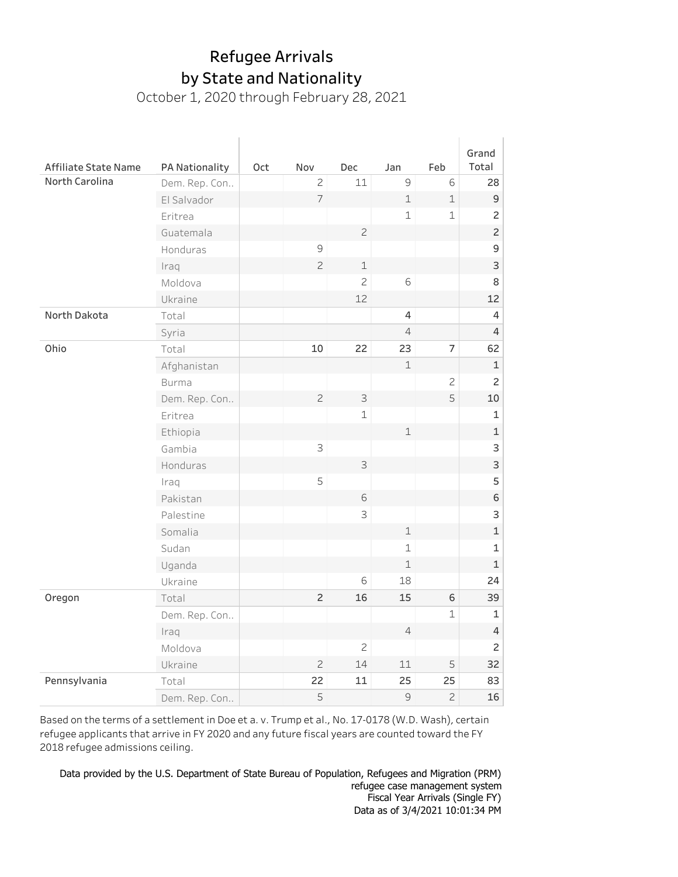October 1, 2020 through February 28, 2021

|                      |                |     |                     |              |                |                | Grand                     |
|----------------------|----------------|-----|---------------------|--------------|----------------|----------------|---------------------------|
| Affiliate State Name | PA Nationality | Oct | Nov                 | Dec          | Jan            | Feb            | Total                     |
| North Carolina       | Dem. Rep. Con  |     | $\overline{c}$      | 11           | $\mathcal{G}$  | 6              | 28                        |
|                      | El Salvador    |     | $\overline{7}$      |              | $\mathbbm{1}$  | $\mathbf 1$    | 9                         |
|                      | Eritrea        |     |                     |              | $\mathbf 1$    | $\mathbf 1$    | $\overline{c}$            |
|                      | Guatemala      |     |                     | $\mathbf{Z}$ |                |                | $\overline{c}$            |
|                      | Honduras       |     | $\mathsf{S}\xspace$ |              |                |                | 9                         |
|                      | Iraq           |     | $\mathbf{Z}$        | $\mathbf 1$  |                |                | $\ensuremath{\mathsf{3}}$ |
|                      | Moldova        |     |                     | $\mathbf{Z}$ | $\mathsf 6$    |                | 8                         |
|                      | Ukraine        |     |                     | 12           |                |                | 12                        |
| North Dakota         | Total          |     |                     |              | 4              |                | $\overline{4}$            |
|                      | Syria          |     |                     |              | $\overline{4}$ |                | 4                         |
| Ohio                 | Total          |     | 10                  | 22           | 23             | $\overline{7}$ | 62                        |
|                      | Afghanistan    |     |                     |              | $\mathbf 1$    |                | $\mathbf 1$               |
|                      | <b>Burma</b>   |     |                     |              |                | $\overline{c}$ | $\overline{c}$            |
|                      | Dem. Rep. Con  |     | $\mathbf{Z}$        | 3            |                | 5              | 10                        |
|                      | Eritrea        |     |                     | $\mathbf 1$  |                |                | 1                         |
|                      | Ethiopia       |     |                     |              | $\mathbbm{1}$  |                | $\mathbf 1$               |
|                      | Gambia         |     | 3                   |              |                |                | 3                         |
|                      | Honduras       |     |                     | 3            |                |                | 3                         |
|                      | Iraq           |     | 5                   |              |                |                | 5                         |
|                      | Pakistan       |     |                     | 6            |                |                | 6                         |
|                      | Palestine      |     |                     | 3            |                |                | 3                         |
|                      | Somalia        |     |                     |              | $\mathbf 1$    |                | $\mathbf 1$               |
|                      | Sudan          |     |                     |              | $\mathbf 1$    |                | $\mathbf{1}$              |
|                      | Uganda         |     |                     |              | $\mathbf 1$    |                | $\mathbf 1$               |
|                      | Ukraine        |     |                     | 6            | 18             |                | 24                        |
| Oregon               | Total          |     | $\overline{c}$      | 16           | 15             | 6              | 39                        |
|                      | Dem. Rep. Con  |     |                     |              |                | $\mathbf 1$    | $\mathbf 1$               |
|                      | Iraq           |     |                     |              | $\sqrt{4}$     |                | $\sqrt{4}$                |
|                      | Moldova        |     |                     | $\mathbf{Z}$ |                |                | $\overline{c}$            |
|                      | Ukraine        |     | $\mathbf{Z}$        | 14           | 11             | 5              | 32                        |
| Pennsylvania         | Total          |     | 22                  | 11           | 25             | 25             | 83                        |
|                      | Dem. Rep. Con  |     | 5                   |              | $\mathcal{G}$  | $\overline{c}$ | 16                        |

Based on the terms of a settlement in Doe et a. v. Trump et al., No. 17-0178 (W.D. Wash), certain refugee applicants that arrive in FY 2020 and any future fiscal years are counted toward the FY 2018 refugee admissions ceiling.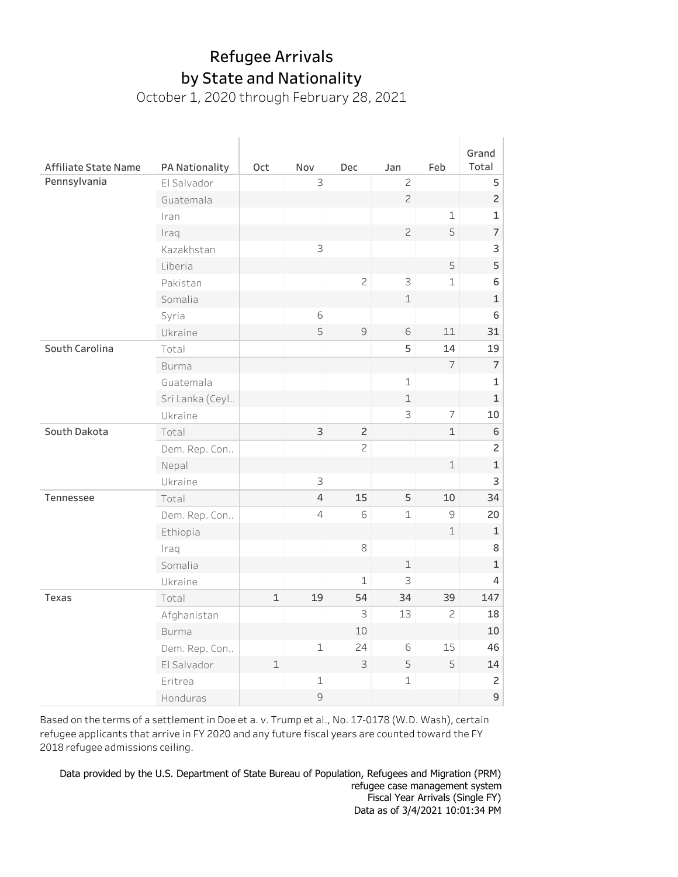October 1, 2020 through February 28, 2021

|                      |                 |              |                |                |                |                | Grand          |
|----------------------|-----------------|--------------|----------------|----------------|----------------|----------------|----------------|
| Affiliate State Name | PA Nationality  | Oct          | Nov            | <b>Dec</b>     | Jan            | Feb            | Total          |
| Pennsylvania         | El Salvador     |              | 3              |                | $\overline{c}$ |                | 5              |
|                      | Guatemala       |              |                |                | $\overline{c}$ |                | $\overline{c}$ |
|                      | Iran            |              |                |                |                | 1              | 1              |
|                      | Iraq            |              |                |                | $\mathbf{Z}$   | 5              | $\overline{7}$ |
|                      | Kazakhstan      |              | 3              |                |                |                | 3              |
|                      | Liberia         |              |                |                |                | 5              | 5              |
|                      | Pakistan        |              |                | $\overline{c}$ | 3              | $\mathbf{1}$   | 6              |
|                      | Somalia         |              |                |                | $\mathbf 1$    |                | 1              |
|                      | Syria           |              | 6              |                |                |                | 6              |
|                      | Ukraine         |              | 5              | 9              | 6              | 11             | 31             |
| South Carolina       | Total           |              |                |                | 5              | 14             | 19             |
|                      | <b>Burma</b>    |              |                |                |                | $\overline{7}$ | $\overline{7}$ |
|                      | Guatemala       |              |                |                | $\mathbf 1$    |                | 1              |
|                      | Sri Lanka (Ceyl |              |                |                | $\mathbf 1$    |                | $\mathbf{1}$   |
|                      | Ukraine         |              |                |                | 3              | $\overline{7}$ | 10             |
| South Dakota         | Total           |              | 3              | $\overline{c}$ |                | $\mathbf{1}$   | 6              |
|                      | Dem. Rep. Con   |              |                | $\overline{c}$ |                |                | $\overline{c}$ |
|                      | Nepal           |              |                |                |                | $\mathbf 1$    | $\mathbf 1$    |
|                      | Ukraine         |              | 3              |                |                |                | 3              |
| Tennessee            | Total           |              | 4              | 15             | 5              | 10             | 34             |
|                      | Dem. Rep. Con   |              | $\overline{4}$ | 6              | $\mathbf 1$    | 9              | 20             |
|                      | Ethiopia        |              |                |                |                | $\mathbf{1}$   | 1              |
|                      | Iraq            |              |                | 8              |                |                | 8              |
|                      | Somalia         |              |                |                | $\perp$        |                | $\mathbf 1$    |
|                      | Ukraine         |              |                | 1              | 3              |                | 4              |
| Texas                | Total           | $\mathbf{1}$ | 19             | 54             | 34             | 39             | 147            |
|                      | Afghanistan     |              |                | 3              | 13             | $\overline{c}$ | 18             |
|                      | <b>Burma</b>    |              |                | 10             |                |                | 10             |
|                      | Dem. Rep. Con   |              | $\mathbf 1$    | 24             | 6              | 15             | 46             |
|                      | El Salvador     | $\mathbf 1$  |                | 3              | 5              | 5              | 14             |
|                      | Eritrea         |              | 1              |                | $\mathbf 1$    |                | 2              |
|                      | Honduras        |              | 9              |                |                |                | $\mathsf 9$    |

Based on the terms of a settlement in Doe et a.v. Trump et al., No. 17-0178 (W.D. Wash), certain refugee applicants that arrive in FY 2020 and any future fiscal years are counted toward the FY 2018 refugee admissions ceiling.

Fiscal Year Arrivals (Single FY) on, refugees and ringfation (FRFI) Data provided by the U.S. Department of State Bureau of Population, Refugees and Migration (PRM) Data as of 3/4/2021 10:01:34 PM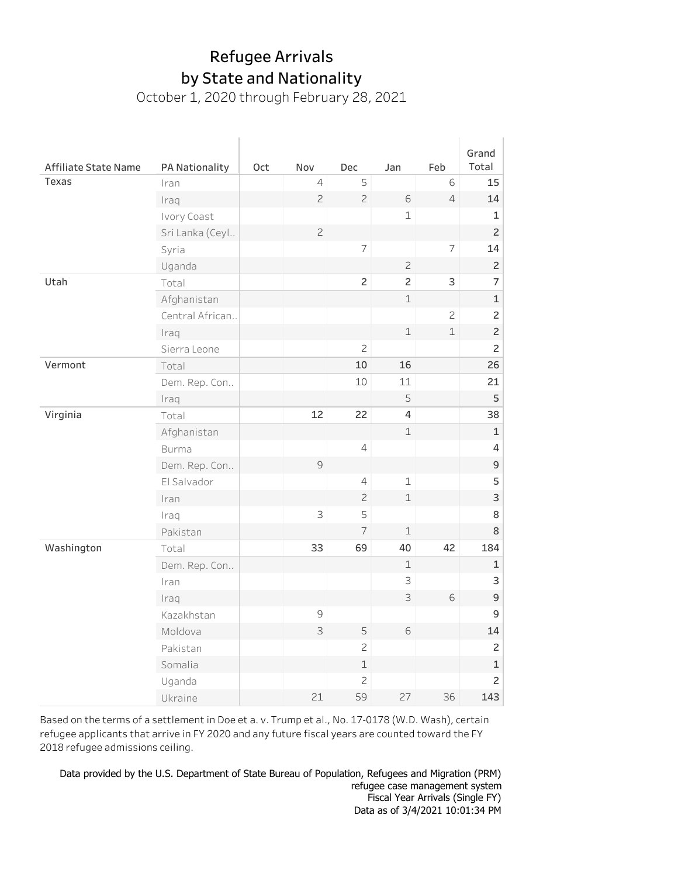## by State and Nationality Refugee Arrivals

October 1, 2020 through February 28, 2021

|                      |                 |     |                |                |                |                | Grand          |
|----------------------|-----------------|-----|----------------|----------------|----------------|----------------|----------------|
| Affiliate State Name | PA Nationality  | Oct | Nov            | Dec            | Jan            | Feb            | Total          |
| Texas                | Iran            |     | $\sqrt{4}$     | 5              |                | 6              | 15             |
|                      | Iraq            |     | $\mathbf{Z}$   | $\overline{c}$ | $\mathsf 6$    | $\overline{4}$ | 14             |
|                      | Ivory Coast     |     |                |                | $\mathbf 1$    |                | 1              |
|                      | Sri Lanka (Ceyl |     | $\overline{c}$ |                |                |                | $\overline{c}$ |
|                      | Syria           |     |                | $\overline{7}$ |                | $\overline{7}$ | 14             |
|                      | Uganda          |     |                |                | $\overline{c}$ |                | $\overline{c}$ |
| Utah                 | Total           |     |                | $\overline{c}$ | $\overline{c}$ | 3              | $\overline{7}$ |
|                      | Afghanistan     |     |                |                | $\mathbf 1$    |                | $\mathbf 1$    |
|                      | Central African |     |                |                |                | $\overline{c}$ | $\overline{c}$ |
|                      | Iraq            |     |                |                | $\mathbbm{1}$  | $\mathbf 1$    | $\overline{c}$ |
|                      | Sierra Leone    |     |                | $\overline{c}$ |                |                | $\overline{c}$ |
| Vermont              | Total           |     |                | 10             | 16             |                | 26             |
|                      | Dem. Rep. Con   |     |                | 10             | 11             |                | 21             |
|                      | Iraq            |     |                |                | 5              |                | 5              |
| Virginia             | Total           |     | 12             | 22             | $\overline{4}$ |                | 38             |
|                      | Afghanistan     |     |                |                | $\mathbf 1$    |                | $\mathbf{1}$   |
|                      | <b>Burma</b>    |     |                | $\sqrt{4}$     |                |                | 4              |
|                      | Dem. Rep. Con   |     | $\mathcal{G}$  |                |                |                | $\mathsf 9$    |
|                      | El Salvador     |     |                | 4              | $\mathbf 1$    |                | 5              |
|                      | Iran            |     |                | $\mathbf{Z}$   | $\mathbf 1$    |                | 3              |
|                      | Iraq            |     | 3              | 5              |                |                | 8              |
|                      | Pakistan        |     |                | $\overline{7}$ | $\mathbf 1$    |                | 8              |
| Washington           | Total           |     | 33             | 69             | 40             | 42             | 184            |
|                      | Dem. Rep. Con   |     |                |                | $\perp$        |                | $\mathbf 1$    |
|                      | Iran            |     |                |                | 3              |                | 3              |
|                      | Iraq            |     |                |                | 3              | 6              | 9              |
|                      | Kazakhstan      |     | $\mathsf{S}$   |                |                |                | 9              |
|                      | Moldova         |     | 3              | 5              | 6              |                | 14             |
|                      | Pakistan        |     |                | $\overline{c}$ |                |                | $\overline{c}$ |
|                      | Somalia         |     |                | 1              |                |                | $\mathbf 1$    |
|                      | Uganda          |     |                | $\mathbf{Z}$   |                |                | $\overline{c}$ |
|                      | Ukraine         |     | 21             | 59             | 27             | 36             | 143            |

Based on the terms of a settlement in Doe et a. v. Trump et al., No. 17-0178 (W.D. Wash), certain refugee applicants that arrive in FY 2020 and any future fiscal years are counted toward the FY 2018 refugee admissions ceiling.